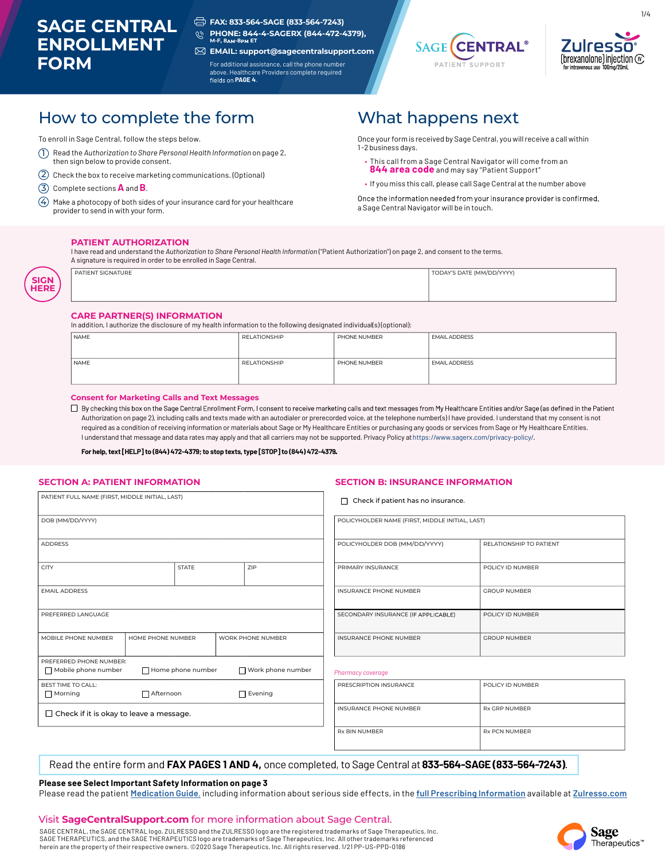# **SAGE CENTRAL ENROLLMENT FORM**

**FAX: 833-564-SAGE (833-564-7243) PHONE: 844-4-SAGERX (844-472-4379),**<br>M-F, 8am-8pm ET

**EMAIL: support@sagecentralsupport.com** For additional assistance, call the phone number above. Healthcare Providers complete required

fields on **PAGE 4**.





1/4

# How to complete the form

To enroll in Sage Central, follow the steps below.

- 1 Read the *Authorization to Share Personal Health Information* on page 2, then sign below to provide consent.
- 2 Check the box to receive marketing communications. (Optional)
- 3 Complete sections **A** and **B**.

 $\left(4\right)$  Make a photocopy of both sides of your insurance card for your healthcare provider to send in with your form.

# What happens next

Once your form is received by Sage Central, you will receive a call within 1 -2 business days.

- This call from a Sage Central Navigator will come from an **844 area code** and may say "Patient Support"
- If you miss this call, please call Sage Central at the number above

Once the information needed from your insurance provider is confirmed. a Sage Central Navigator will be in touch.

### **PATIENT AUTHORIZATION**

I have read and understand the *Authorization to Share Personal Health Information* ("Patient Authorization") on page 2, and consent to the terms. A signature is required in order to be enrolled in Sage Central.

| PATIENT SIGNATURE<br>the contract of the contract of the contract of the contract of the contract of the contract of the contract of | TODAY'S DATE (MM/DD/YYYY) |  |
|--------------------------------------------------------------------------------------------------------------------------------------|---------------------------|--|
|                                                                                                                                      |                           |  |
|                                                                                                                                      |                           |  |

### **CARE PARTNER(S) INFORMATION**

In addition, I authorize the disclosure of my health information to the following designated individual(s) (optional):

| NAME | <b>RELATIONSHIP</b> | PHONE NUMBER | <b>EMAILADDRESS</b> |
|------|---------------------|--------------|---------------------|
| NAME | <b>RELATIONSHIP</b> | PHONE NUMBER | <b>EMAILADDRESS</b> |

#### **Consent for Marketing Calls and Text Messages**

□ By checking this box on the Sage Central Enrollment Form, I consent to receive marketing calls and text messages from My Healthcare Entities and/or Sage (as defined in the Patient Authorization on page 2), including calls and texts made with an autodialer or prerecorded voice, at the telephone number(s) I have provided. I understand that my consent is not required as a condition of receiving information or materials about Sage or My Healthcare Entities or purchasing any goods or services from Sage or My Healthcare Entities. I understand that message and data rates may apply and that all carriers may not be supported. Privacy Policy at https://www.sagerx.com/privacy-policy/.

**For help, text [HELP] to (844) 472-4379; to stop texts, type [STOP] to (844) 472-4379.**

# PATIENT FULL NAME (FIRST, MIDDLE INITIAL, LAST)

**SIGN HERE**

### **SECTION A: PATIENT INFORMATION SECTION B: INSURANCE INFORMATION**

 $\Box$  Check if patient has no insurance.

| DOB (MM/DD/YYYY)                               |           |                   |                          |                     | POLICYHOLDER NAME (FIRST, MIDDLE INITIAL, LAST) |                         |  |  |
|------------------------------------------------|-----------|-------------------|--------------------------|---------------------|-------------------------------------------------|-------------------------|--|--|
| <b>ADDRESS</b>                                 |           |                   |                          |                     | POLICYHOLDER DOB (MM/DD/YYYY)                   | RELATIONSHIP TO PATIENT |  |  |
| <b>CITY</b>                                    |           | <b>STATE</b>      |                          | ZIP                 | PRIMARY INSURANCE                               | POLICY ID NUMBER        |  |  |
| <b>EMAIL ADDRESS</b>                           |           |                   |                          |                     | <b>INSURANCE PHONE NUMBER</b>                   | <b>GROUP NUMBER</b>     |  |  |
| PREFERRED LANGUAGE                             |           |                   |                          |                     | SECONDARY INSURANCE (IF APPLICABLE)             | POLICY ID NUMBER        |  |  |
| HOME PHONE NUMBER<br>MOBILE PHONE NUMBER       |           |                   | <b>WORK PHONE NUMBER</b> |                     | <b>INSURANCE PHONE NUMBER</b>                   | <b>GROUP NUMBER</b>     |  |  |
| PREFERRED PHONE NUMBER:<br>Mobile phone number |           | Home phone number |                          | □ Work phone number | Pharmacy coverage                               |                         |  |  |
| <b>BEST TIME TO CALL:</b><br>$\Box$ Morning    | Afternoon |                   |                          | $\Box$ Evening      | PRESCRIPTION INSURANCE                          | POLICY ID NUMBER        |  |  |
| $\Box$ Check if it is okay to leave a message. |           |                   |                          |                     | <b>INSURANCE PHONE NUMBER</b>                   | <b>Rx GRP NUMBER</b>    |  |  |
|                                                |           |                   |                          |                     | Rx BIN NUMBER                                   | <b>Rx PCN NUMBER</b>    |  |  |

### Read the entire form and **FAX PAGES 1 AND 4,** once completed, to Sage Central at **833-564-SAGE (833-564-7243)**.

### **Please see Important Safety Information on page 3. Please see Select Important Safety Information on page 3**

Please read the patient <u>[Medication Guide](https://assets.sagerx.com/zulresso/medication-guide.pdf),</u> including information about serious side effects, in the <u>[full Prescribing Information](https://assets.sagerx.com/zulresso/prescribing-information.pdf)</u> available at <u>[Zulresso.com](https://www.zulresso.com/)</u>

### Visit **SageCentralSupport.com** for more information about Sage Central.

SAGE CENTRAL, the SAGE CENTRAL logo, ZULRESSO and the ZULRESSO logo are the registered trademarks of Sage Therapeutics, Inc. SAGE THERAPEUTICS, and the SAGE THERAPEUTICS logo are trademarks of Sage Therapeutics, Inc. All other trademarks referenced herein are the property of their respective owners. ©2020 Sage Therapeutics, Inc. All rights reserved. 1/21 PP-US-PPD-0186

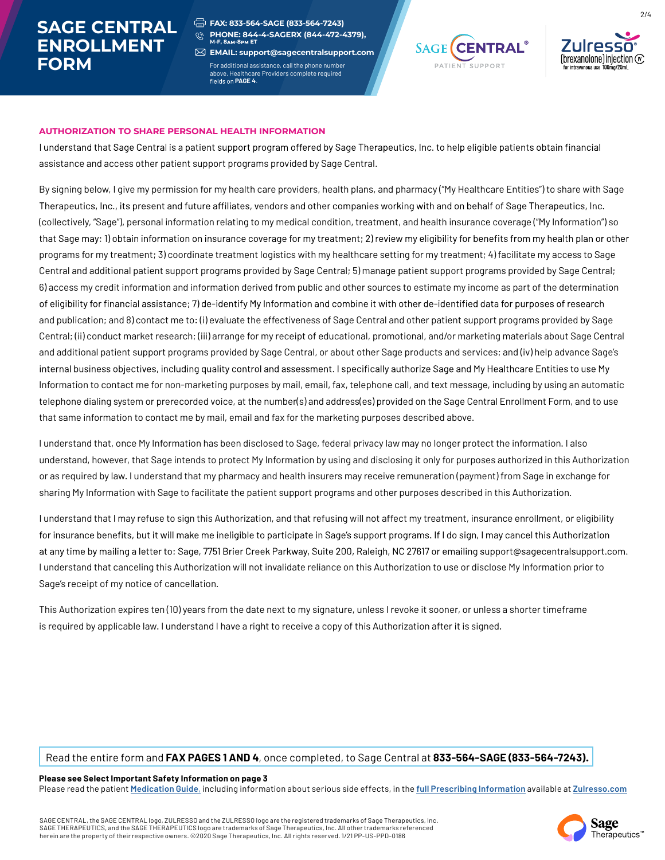# **SAGE CENTRAL ENROLLMENT FORM**

**FAX: 833-564-SAGE (833-564-7243) READ PHONE: 844-4-SAGERX (844-472-4379), M-F, 8AM-8PM ET** 

**EMAIL: support@sagecentralsupport.com** For additional assistance, call the phone number above. Healthcare Providers complete required **PAGE 4**.





2/4

### **AUTHORIZATION TO SHARE PERSONAL HEALTH INFORMATION**

I understand that Sage Central is a patient support program offered by Sage Therapeutics, Inc. to help eligible patients obtain financial assistance and access other patient support programs provided by Sage Central.

By signing below, I give my permission for my health care providers, health plans, and pharmacy ("My Healthcare Entities") to share with Sage Therapeutics, Inc., its present and future affiliates, vendors and other companies working with and on behalf of Sage Therapeutics, Inc. (collectively, "Sage"), personal information relating to my medical condition, treatment, and health insurance coverage ("My Information") so that Sage may: 1) obtain information on insurance coverage for my treatment; 2) review my eligibility for benefits from my health plan or other programs for my treatment; 3) coordinate treatment logistics with my healthcare setting for my treatment; 4) facilitate my access to Sage Central and additional patient support programs provided by Sage Central; 5) manage patient support programs provided by Sage Central; 6) access my credit information and information derived from public and other sources to estimate my income as part of the determination of eligibility for financial assistance; 7) de-identify My Information and combine it with other de-identified data for purposes of research and publication; and 8) contact me to: (i) evaluate the effectiveness of Sage Central and other patient support programs provided by Sage Central; (ii) conduct market research; (iii) arrange for my receipt of educational, promotional, and/or marketing materials about Sage Central and additional patient support programs provided by Sage Central, or about other Sage products and services; and (iv) help advance Sage's internal business objectives, including quality control and assessment. I specifically authorize Sage and My Healthcare Entities to use My Information to contact me for non-marketing purposes by mail, email, fax, telephone call, and text message, including by using an automatic telephone dialing system or prerecorded voice, at the number(s) and address(es) provided on the Sage Central Enrollment Form, and to use that same information to contact me by mail, email and fax for the marketing purposes described above.

I understand that, once My Information has been disclosed to Sage, federal privacy law may no longer protect the information. I also understand, however, that Sage intends to protect My Information by using and disclosing it only for purposes authorized in this Authorization or as required by law. I understand that my pharmacy and health insurers may receive remuneration (payment) from Sage in exchange for sharing My Information with Sage to facilitate the patient support programs and other purposes described in this Authorization.

I understand that I may refuse to sign this Authorization, and that refusing will not affect my treatment, insurance enrollment, or eligibility for insurance benefits, but it will make me ineligible to participate in Sage's support programs. If I do sign, I may cancel this Authorization at any time by mailing a letter to: Sage, 7751 Brier Creek Parkway, Suite 200, Raleigh, NC 27617 or emailing support@sagecentralsupport.com. I understand that canceling this Authorization will not invalidate reliance on this Authorization to use or disclose My Information prior to Sage's receipt of my notice of cancellation.

This Authorization expires ten (10) years from the date next to my signature, unless I revoke it sooner, or unless a shorter timeframe is required by applicable law. I understand I have a right to receive a copy of this Authorization after it is signed.

## Read the entire form and **FAX PAGES 1 AND 4**, once completed, to Sage Central at **833-564-SAGE (833-564-7243).**

#### **Please see Select Important Safety Information on page 3**

Please read the patient <u>[Medication Guide](https://assets.sagerx.com/zulresso/medication-guide.pdf),</u> including information about serious side effects, in the <u>[full Prescribing Information](https://assets.sagerx.com/zulresso/prescribing-information.pdf)</u> available at [Zulresso.com](https://www.zulresso.com/)

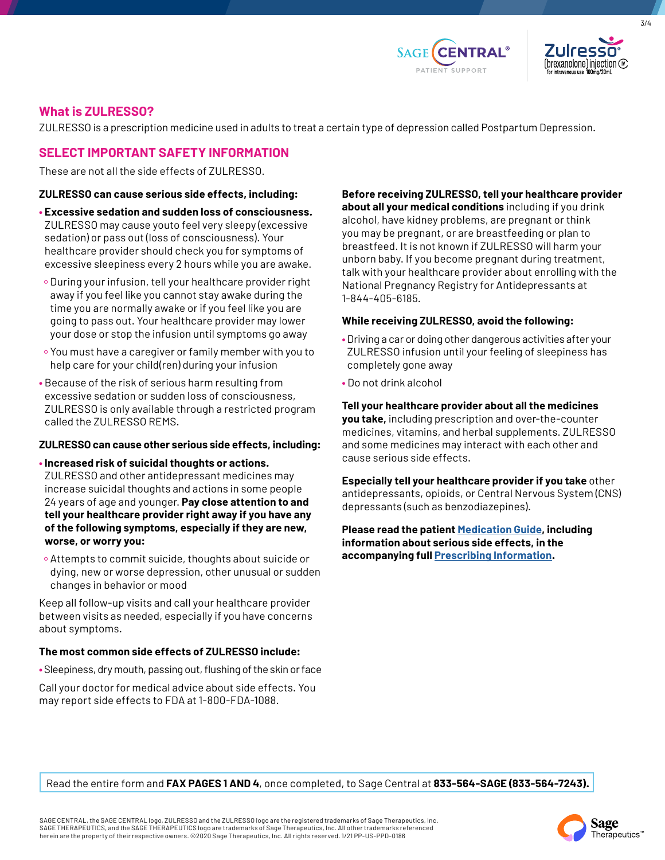



## **What is ZULRESSO?** is a prescription medicine used to the used to treat Postpartum  $\mathbf{P}$

zu provider and provider and pharmacist when you get a new medicine when you get a new medicine. Depression the ZULRESSO is a prescription medicine used in adults to treat a certain type of depression called Postpartum Depression.

## **IMPORTANT SAFETY INFORMATION SELECT IMPORTANT SAFETY INFORMATION**

**What is the most important information I should know about ZULRESSO?**  These are not all the side effects of ZULRESSO.

## **ZULRESSO can cause serious side effects, including: ZULRESSO can cause serious side effects, including:**

- **Excessive sedation and sudden loss of consciousness. • Excessive sedation and sudden loss of consciousness.** ZULRESSO may cause youto feel very sleepy (excessive sedation) or pass out (loss of consciousness). Your healthcare provider should check you for symptoms of meannedre previder eneard enearty od for symptome of<br>excessive sleepiness every 2 hours while you are awake.
- redivorp erachtlaeh ruoy llet ,noisufni OSSERLUZ ruoy gniruD o During your infusion, tell your healthcare provider right away if you feel like you cannot stay awake during the time you are normally awake or if you feel like you are going to pass out. Your healthcare provider may lower your dose or stop the infusion until symptoms go away
- $\circ$  You must have a caregiver or family member with you to help care for your child(ren) during your infusion
- Because of the risk of serious harm resulting from excessive sedation or sudden loss of consciousness, **Before receiving ZULRESSO, tell your healthcare provider about**  ZULRESSO is only available through a restricted program called the ZULRESSO REMS.

# • lohocla knird **ZULRESSO can cause other serious side effects, including:**

- Increased risk of suicidal thoughts or actions. ZULRESSO and other antidepressant medicines may ZULRESSO will harm your unborn baby. increase suicidal thoughts and actions in some people 24 years of age and younger. Pay close attention to and tell your healthcare provider right away if you have any of the following symptoms, especially if they are new, worse, or worry you:  $t_{\text{total}}$  or healthcare providers  $\frac{1}{2}$  to  $\frac{1}{2}$  to  $\frac{1}{2}$  to  $\frac{1}{2}$  to  $\frac{1}{2}$  and  $\frac{1}{2}$  and  $\frac{1}{2}$  and  $\frac{1}{2}$  and  $\frac{1}{2}$  and  $\frac{1}{2}$  and  $\frac{1}{2}$  and  $\frac{1}{2}$  and  $\frac{1}{2}$  and  $\frac{1}{2}$
- $\circ$  Attempts to commit suicide, thoughts about suicide or dying, new or worse depression, other unusual or sudden changes in behavior or mood **changes** in behavior or mood

Keep all follow-up visits and call your healthcare provider between visits as needed, especially if you have concerns  $\begin{array}{ccc} \text{about symptoms.} \end{array}$ 

## The most common side effects of ZULRESSO include:

**Slaaningss dry mouth passing out flushing of the skin or f** • Sleepiness, dry mouth, passing out, flushing of the skin or face<br>•

Call your doctor for medical advice about side effects. You may report side effects to FDA at 1-800-FDA-1088.

**Before receiving ZULRESSO, tell your healthcare provider** 

about all your medical conditions including if you drink we compute the top preserved in the pregnant, or are breastfeeding or plan to yourincy be program, or dre breastreeding or plan to<br>breastfeed. It is not known if ZULRESSO will harm your in castlecul it is not mnown in Zolin Loop will harm your unborn baby. If you become pregnant during treatment, talk with your healthcare provider about enrolling with the National Pregnancy Registry for Antidepressants at<br>1.866, 605, 6195 alcohol, have kidney problems, are pregnant or think 1-844-405-6185.

## What are the possible side of ZULRESSO? **While receiving ZULRESSO, avoid the following:**

- " eeS **What is the most important information I should know**  ZULRESSO infusion until your feeling of sleepiness has **•** Driving a car or doing other dangerous activities after your completely gone away
- **Increased risk of suicidal thoughts or actions.** ZULRESSO and • Do not drink alcohol

### and actions in some people 24 years of age and younger. Tell your healthcare provider about all the medicines

**you take,** including prescription and over-the-counter **How can I watch for and try to prevent suicidal thoughts**  and some medicines may interact with each other and **and actions?**  cause serious side effects. medicines, vitamins, and herbal supplements. ZULRESSO

**Especially tell your healthcare provider if you take** other antidepressants, opioids, or Central Nervous System (CNS) depressants (such as benzodiazepines).

or sudden changes in mood, behavior, thoughts, or feelings. **Please read the patient [Medication Guide](https://assets.sagerx.com/zulresso/medication-guide.pdf), including**  sa redivorp erachtlaeh ruoy htiw stisiv pu-wollof lla peeK **information about serious side effects, in the**  scheduled. Call December 110000 (in the provider between visits as the provider between visits as the provider accompanying full <u>Prescribing Information</u>.

Read the entire form and **FAX PAGES 1 AND 4**, once completed, to Sage Central at **833-564-SAGE (833-564-7243).**



SAGE CENTRAL, the SAGE CENTRAL logo, ZULRESSO and the ZULRESSO logo are the registered trademarks of Sage Therapeutics, Inc. SAGE THERAPEUTICS, and the SAGE THERAPEUTICS logo are trademarks of Sage Therapeutics, Inc. All other trademarks referenced herein are the property of their respective owners. ©2020 Sage Therapeutics, Inc. All rights reserved. 1/21 PP-US-PPD-0186